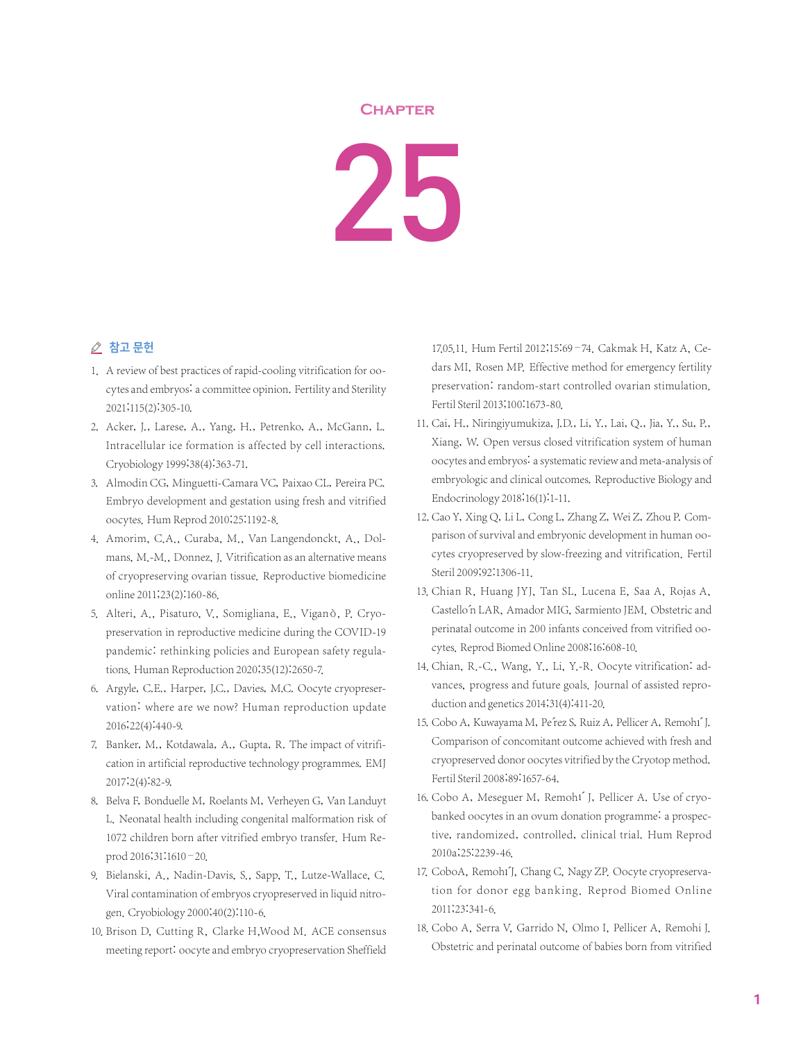## **Chapter**

## 25

## △ 참고 문헌

- 1. A review of best practices of rapid-cooling vitrification for oocytes and embryos: a committee opinion. Fertility and Sterility 2021;115(2):305-10.
- 2. Acker, J., Larese, A., Yang, H., Petrenko, A., McGann, L. Intracellular ice formation is affected by cell interactions. Cryobiology 1999;38(4):363-71.
- 3. Almodin CG, Minguetti-Camara VC, Paixao CL, Pereira PC. Embryo development and gestation using fresh and vitrified oocytes. Hum Reprod 2010;25:1192-8.
- 4. Amorim, C.A., Curaba, M., Van Langendonckt, A., Dolmans, M.-M., Donnez, J. Vitrification as an alternative means of cryopreserving ovarian tissue. Reproductive biomedicine online 2011;23(2):160-86.
- 5. Alteri, A., Pisaturo, V., Somigliana, E., Viganò, P. Cryopreservation in reproductive medicine during the COVID-19 pandemic: rethinking policies and European safety regulations. Human Reproduction 2020;35(12):2650-7.
- 6. Argyle, C.E., Harper, J.C., Davies, M.C. Oocyte cryopreservation: where are we now? Human reproduction update 2016;22(4):440-9.
- 7. Banker, M., Kotdawala, A., Gupta, R. The impact of vitrification in artificial reproductive technology programmes. EMJ 2017;2(4):82-9.
- 8. Belva F, Bonduelle M, Roelants M, Verheyen G, Van Landuyt L. Neonatal health including congenital malformation risk of 1072 children born after vitrified embryo transfer. Hum Reprod 2016;31:1610–20.
- 9. Bielanski, A., Nadin-Davis, S., Sapp, T., Lutze-Wallace, C. Viral contamination of embryos cryopreserved in liquid nitrogen. Cryobiology 2000;40(2):110-6.
- 10. Brison D, Cutting R, Clarke H,Wood M. ACE consensus meeting report: oocyte and embryo cryopreservation Sheffield

17.05.11. Hum Fertil 2012;15:69–74. Cakmak H, Katz A, Cedars MI, Rosen MP. Effective method for emergency fertility preservation: random-start controlled ovarian stimulation. Fertil Steril 2013;100:1673-80.

- 11. Cai, H., Niringiyumukiza, J.D., Li, Y., Lai, Q., Jia, Y., Su, P., Xiang, W. Open versus closed vitrification system of human oocytes and embryos: a systematic review and meta-analysis of embryologic and clinical outcomes. Reproductive Biology and Endocrinology 2018;16(1):1-11.
- 12. Cao Y, Xing Q, Li L, Cong L, Zhang Z, Wei Z, Zhou P. Comparison of survival and embryonic development in human oocytes cryopreserved by slow-freezing and vitrification. Fertil Steril 2009;92:1306-11.
- 13. Chian R, Huang JYJ, Tan SL, Lucena E, Saa A, Rojas A, Castello´n LAR, Amador MIG, Sarmiento JEM. Obstetric and perinatal outcome in 200 infants conceived from vitrified oocytes. Reprod Biomed Online 2008;16:608-10.
- 14. Chian, R.-C., Wang, Y., Li, Y.-R. Oocyte vitrification: advances, progress and future goals. Journal of assisted reproduction and genetics 2014;31(4):411-20.
- 15. Cobo A, Kuwayama M, Pe'rez S, Ruiz A, Pellicer A, Remohí J. Comparison of concomitant outcome achieved with fresh and cryopreserved donor oocytes vitrified by the Cryotop method. Fertil Steril 2008;89:1657-64.
- 16. Cobo A, Meseguer M, Remoh1<sup>'</sup> J, Pellicer A. Use of cryobanked oocytes in an ovum donation programme: a prospective, randomized, controlled, clinical trial. Hum Reprod 2010a;25:2239-46.
- 17. CoboA, Remoh1<sup>'</sup>J, Chang C, Nagy ZP. Oocyte cryopreservation for donor egg banking. Reprod Biomed Online 2011;23:341-6.
- 18. Cobo A, Serra V, Garrido N, Olmo I, Pellicer A, Remohi J. Obstetric and perinatal outcome of babies born from vitrified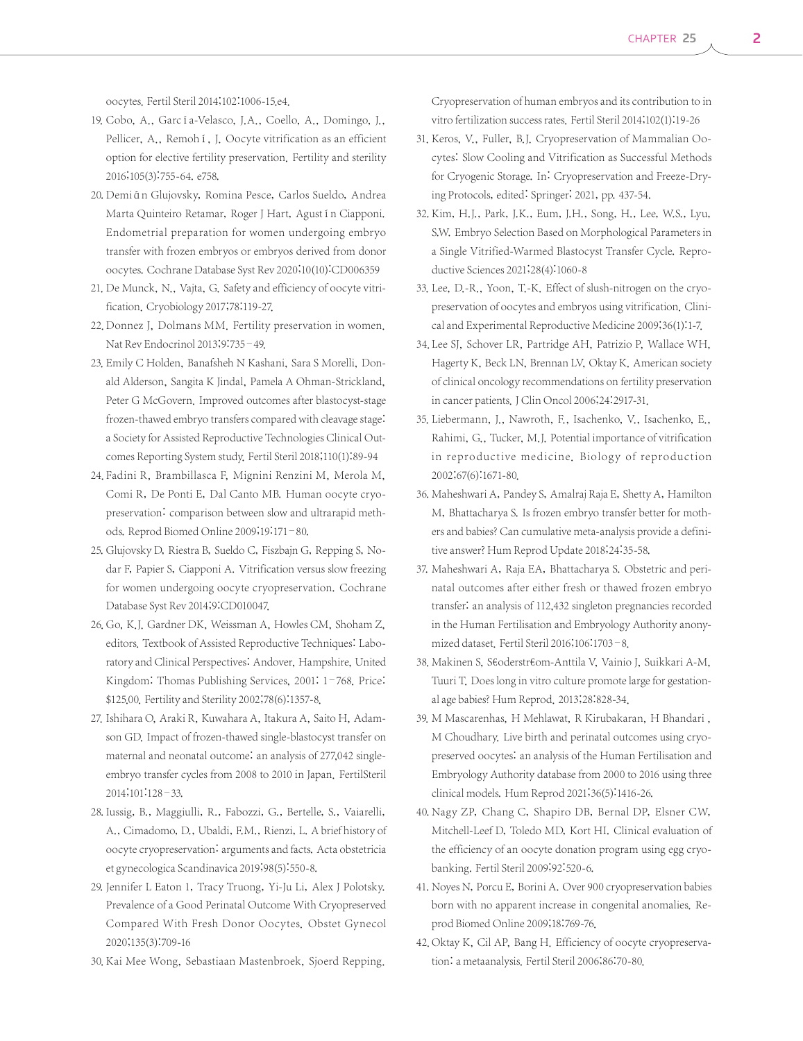oocytes. Fertil Steril 2014;102:1006-15.e4.

- 19. Cobo, A., García-Velasco, J.A., Coello, A., Domingo, J., Pellicer, A., Remohí, J. Oocyte vitrification as an efficient option for elective fertility preservation. Fertility and sterility 2016;105(3):755-64. e758.
- 20. Demián Glujovsky, Romina Pesce, Carlos Sueldo, Andrea Marta Quinteiro Retamar, Roger J Hart, Agustín Ciapponi. Endometrial preparation for women undergoing embryo transfer with frozen embryos or embryos derived from donor oocytes. Cochrane Database Syst Rev 2020;10(10):CD006359
- 21. De Munck, N., Vajta, G. Safety and efficiency of oocyte vitrification. Cryobiology 2017;78:119-27.
- 22. Donnez J, Dolmans MM. Fertility preservation in women. Nat Rev Endocrinol 2013;9:735–49.
- 23. Emily C Holden, Banafsheh N Kashani, Sara S Morelli, Donald Alderson, Sangita K Jindal, Pamela A Ohman-Strickland, Peter G McGovern. Improved outcomes after blastocyst-stage frozen-thawed embryo transfers compared with cleavage stage: a Society for Assisted Reproductive Technologies Clinical Outcomes Reporting System study. Fertil Steril 2018;110(1):89-94
- 24. Fadini R, Brambillasca F, Mignini Renzini M, Merola M, Comi R, De Ponti E, Dal Canto MB. Human oocyte cryopreservation: comparison between slow and ultrarapid methods. Reprod Biomed Online 2009;19:171–80.
- 25. Glujovsky D, Riestra B, Sueldo C, Fiszbajn G, Repping S, Nodar F, Papier S, Ciapponi A. Vitrification versus slow freezing for women undergoing oocyte cryopreservation. Cochrane Database Syst Rev 2014;9:CD010047.
- 26. Go, K.J. Gardner DK, Weissman A, Howles CM, Shoham Z, editors. Textbook of Assisted Reproductive Techniques: Laboratory and Clinical Perspectives: Andover, Hampshire, United Kingdom: Thomas Publishing Services, 2001: 1–768. Price: \$125.00. Fertility and Sterility 2002;78(6):1357-8.
- 27. Ishihara O, Araki R, Kuwahara A, Itakura A, Saito H, Adamson GD. Impact of frozen-thawed single-blastocyst transfer on maternal and neonatal outcome: an analysis of 277,042 singleembryo transfer cycles from 2008 to 2010 in Japan. FertilSteril 2014;101:128–33.
- 28. Iussig, B., Maggiulli, R., Fabozzi, G., Bertelle, S., Vaiarelli, A., Cimadomo, D., Ubaldi, F.M., Rienzi, L. A brief history of oocyte cryopreservation: arguments and facts. Acta obstetricia et gynecologica Scandinavica 2019;98(5):550-8.
- 29. Jennifer L Eaton 1, Tracy Truong, Yi-Ju Li, Alex J Polotsky. Prevalence of a Good Perinatal Outcome With Cryopreserved Compared With Fresh Donor Oocytes. Obstet Gynecol 2020;135(3):709-16
- 30. Kai Mee Wong, Sebastiaan Mastenbroek, Sjoerd Repping.

Cryopreservation of human embryos and its contribution to in vitro fertilization success rates. Fertil Steril 2014;102(1):19-26

- 31. Keros, V., Fuller, B.J. Cryopreservation of Mammalian Oocytes: Slow Cooling and Vitrification as Successful Methods for Cryogenic Storage. In: Cryopreservation and Freeze-Drying Protocols, edited: Springer; 2021, pp. 437-54.
- 32. Kim, H.J., Park, J.K., Eum, J.H., Song, H., Lee, W.S., Lyu, S.W. Embryo Selection Based on Morphological Parameters in a Single Vitrified-Warmed Blastocyst Transfer Cycle. Reproductive Sciences 2021;28(4):1060-8
- 33. Lee, D.-R., Yoon, T.-K. Effect of slush-nitrogen on the cryopreservation of oocytes and embryos using vitrification. Clinical and Experimental Reproductive Medicine 2009;36(1):1-7.
- 34. Lee SJ, Schover LR, Partridge AH, Patrizio P, Wallace WH, Hagerty K, Beck LN, Brennan LV, Oktay K. American society of clinical oncology recommendations on fertility preservation in cancer patients. J Clin Oncol 2006;24:2917-31.
- 35. Liebermann, J., Nawroth, F., Isachenko, V., Isachenko, E., Rahimi, G., Tucker, M.J. Potential importance of vitrification in reproductive medicine. Biology of reproduction 2002;67(6):1671-80.
- 36. Maheshwari A, Pandey S, Amalraj Raja E, Shetty A, Hamilton M, Bhattacharya S. Is frozen embryo transfer better for mothers and babies? Can cumulative meta-analysis provide a definitive answer? Hum Reprod Update 2018;24:35-58.
- 37. Maheshwari A, Raja EA, Bhattacharya S. Obstetric and perinatal outcomes after either fresh or thawed frozen embryo transfer: an analysis of 112,432 singleton pregnancies recorded in the Human Fertilisation and Embryology Authority anonymized dataset. Fertil Steril 2016;106:1703–8.
- 38. Makinen S, S€oderstr€om-Anttila V, Vainio J, Suikkari A-M, Tuuri T. Does long in vitro culture promote large for gestational age babies? Hum Reprod. 2013;28:828-34.
- 39. M Mascarenhas, H Mehlawat, R Kirubakaran, H Bhandari , M Choudhary. Live birth and perinatal outcomes using cryopreserved oocytes: an analysis of the Human Fertilisation and Embryology Authority database from 2000 to 2016 using three clinical models. Hum Reprod 2021;36(5):1416-26.
- 40. Nagy ZP, Chang C, Shapiro DB, Bernal DP, Elsner CW, Mitchell-Leef D, Toledo MD, Kort HI. Clinical evaluation of the efficiency of an oocyte donation program using egg cryobanking. Fertil Steril 2009;92:520-6.
- 41. Noyes N, Porcu E, Borini A. Over 900 cryopreservation babies born with no apparent increase in congenital anomalies. Reprod Biomed Online 2009;18:769-76.
- 42. Oktay K, Cil AP, Bang H. Efficiency of oocyte cryopreservation: a metaanalysis. Fertil Steril 2006;86:70-80.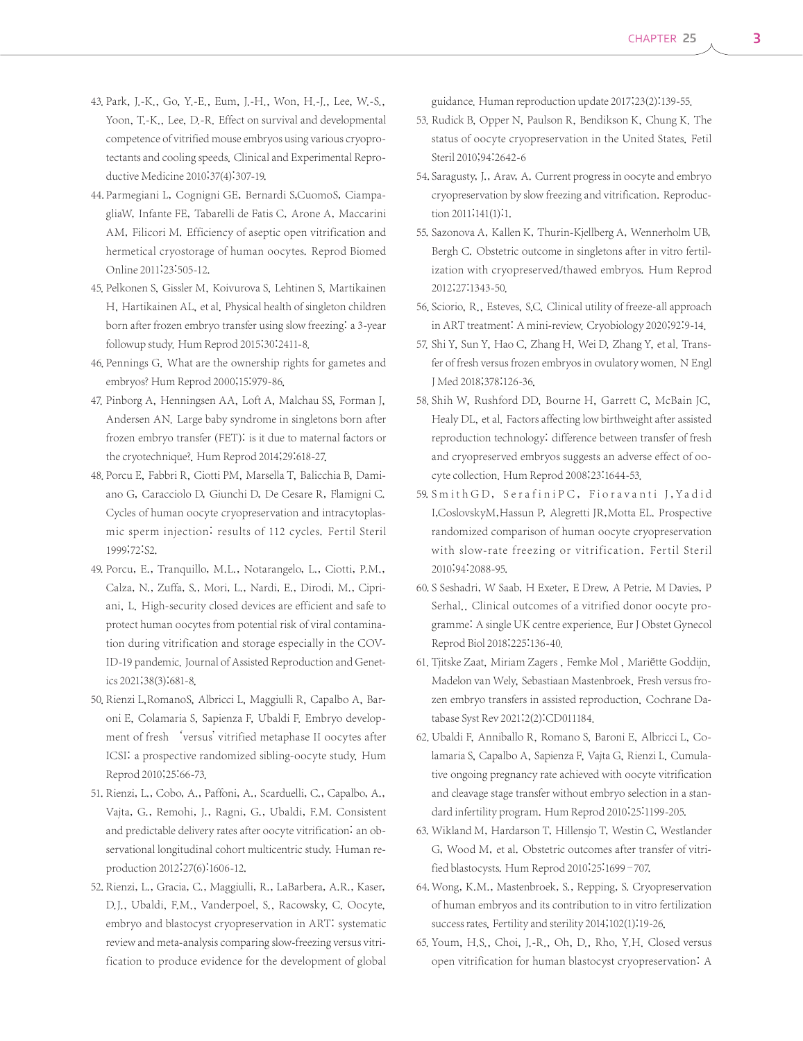- 43. Park, J.-K., Go, Y.-E., Eum, J.-H., Won, H.-J., Lee, W.-S., Yoon, T.-K., Lee, D.-R. Effect on survival and developmental competence of vitrified mouse embryos using various cryoprotectants and cooling speeds. Clinical and Experimental Reproductive Medicine 2010;37(4):307-19.
- 44. Parmegiani L, Cognigni GE, Bernardi S,CuomoS, CiampagliaW, Infante FE, Tabarelli de Fatis C, Arone A, Maccarini AM, Filicori M. Efficiency of aseptic open vitrification and hermetical cryostorage of human oocytes. Reprod Biomed Online 2011;23:505-12.
- 45. Pelkonen S, Gissler M, Koivurova S, Lehtinen S, Martikainen H, Hartikainen AL, et al. Physical health of singleton children born after frozen embryo transfer using slow freezing: a 3-year followup study. Hum Reprod 2015;30:2411-8.
- 46. Pennings G. What are the ownership rights for gametes and embryos? Hum Reprod 2000;15:979-86.
- 47. Pinborg A, Henningsen AA, Loft A, Malchau SS, Forman J, Andersen AN. Large baby syndrome in singletons born after frozen embryo transfer (FET): is it due to maternal factors or the cryotechnique?. Hum Reprod 2014;29:618-27.
- 48. Porcu E, Fabbri R, Ciotti PM, Marsella T, Balicchia B, Damiano G, Caracciolo D, Giunchi D, De Cesare R, Flamigni C. Cycles of human oocyte cryopreservation and intracytoplasmic sperm injection: results of 112 cycles. Fertil Steril 1999;72:S2.
- 49. Porcu, E., Tranquillo, M.L., Notarangelo, L., Ciotti, P.M., Calza, N., Zuffa, S., Mori, L., Nardi, E., Dirodi, M., Cipriani, L. High-security closed devices are efficient and safe to protect human oocytes from potential risk of viral contamination during vitrification and storage especially in the COV-ID-19 pandemic. Journal of Assisted Reproduction and Genetics 2021;38(3):681-8.
- 50. Rienzi L, RomanoS, Albricci L, Maggiulli R, Capalbo A, Baroni E, Colamaria S, Sapienza F, Ubaldi F. Embryo development of fresh 'versus' vitrified metaphase II oocytes after ICSI: a prospective randomized sibling-oocyte study. Hum Reprod 2010;25:66-73.
- 51. Rienzi, L., Cobo, A., Paffoni, A., Scarduelli, C., Capalbo, A., Vajta, G., Remohi, J., Ragni, G., Ubaldi, F.M. Consistent and predictable delivery rates after oocyte vitrification: an observational longitudinal cohort multicentric study. Human reproduction 2012;27(6):1606-12.
- 52. Rienzi, L., Gracia, C., Maggiulli, R., LaBarbera, A.R., Kaser, D.J., Ubaldi, F.M., Vanderpoel, S., Racowsky, C. Oocyte, embryo and blastocyst cryopreservation in ART: systematic review and meta-analysis comparing slow-freezing versus vitrification to produce evidence for the development of global

guidance. Human reproduction update 2017;23(2):139-55.

- 53. Rudick B, Opper N, Paulson R, Bendikson K, Chung K. The status of oocyte cryopreservation in the United States. Fetil Steril 2010;94:2642-6
- 54. Saragusty, J., Arav, A. Current progress in oocyte and embryo cryopreservation by slow freezing and vitrification. Reproduction 2011;141(1):1.
- 55. Sazonova A, Kallen K, Thurin-Kjellberg A, Wennerholm UB, Bergh C. Obstetric outcome in singletons after in vitro fertilization with cryopreserved/thawed embryos. Hum Reprod 2012;27:1343-50.
- 56. Sciorio, R., Esteves, S.C. Clinical utility of freeze-all approach in ART treatment: A mini-review. Cryobiology 2020;92:9-14.
- 57. Shi Y, Sun Y, Hao C, Zhang H, Wei D, Zhang Y, et al. Transfer of fresh versus frozen embryos in ovulatory women. N Engl J Med 2018;378:126-36.
- 58. Shih W, Rushford DD, Bourne H, Garrett C, McBain JC, Healy DL, et al. Factors affecting low birthweight after assisted reproduction technology: difference between transfer of fresh and cryopreserved embryos suggests an adverse effect of oocyte collection. Hum Reprod 2008;23:1644-53.
- 59. Smith GD, SerafiniPC, Fioravanti J, Yadid I,CoslovskyM,Hassun P, Alegretti JR,Motta EL. Prospective randomized comparison of human oocyte cryopreservation with slow-rate freezing or vitrification. Fertil Steril 2010;94:2088-95.
- 60. S Seshadri, W Saab, H Exeter, E Drew, A Petrie, M Davies, P Serhal.. Clinical outcomes of a vitrified donor oocyte programme: A single UK centre experience. Eur J Obstet Gynecol Reprod Biol 2018;225:136-40.
- 61. Tjitske Zaat, Miriam Zagers, Femke Mol, Mariëtte Goddijn, Madelon van Wely, Sebastiaan Mastenbroek. Fresh versus frozen embryo transfers in assisted reproduction. Cochrane Database Syst Rev 2021;2(2):CD011184.
- 62. Ubaldi F, Anniballo R, Romano S, Baroni E, Albricci L, Colamaria S, Capalbo A, Sapienza F, Vajta G, Rienzi L. Cumulative ongoing pregnancy rate achieved with oocyte vitrification and cleavage stage transfer without embryo selection in a standard infertility program. Hum Reprod 2010;25:1199-205.
- 63. Wikland M, Hardarson T, Hillensjo T, Westin C, Westlander G, Wood M, et al. Obstetric outcomes after transfer of vitrified blastocysts. Hum Reprod 2010;25:1699–707.
- 64. Wong, K.M., Mastenbroek, S., Repping, S. Cryopreservation of human embryos and its contribution to in vitro fertilization success rates. Fertility and sterility 2014;102(1):19-26.
- 65. Youm, H.S., Choi, J.-R., Oh, D., Rho, Y.H. Closed versus open vitrification for human blastocyst cryopreservation: A